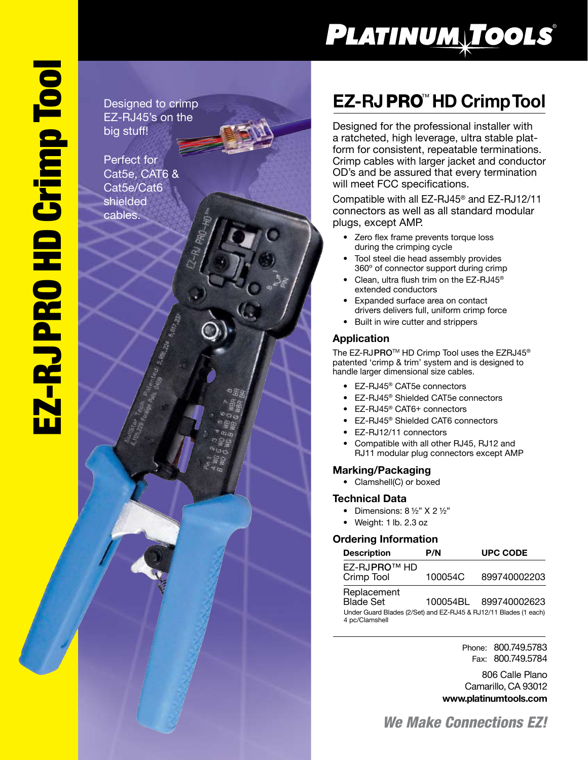# PLATINUM TOOLS®

Designed to crimp EZ-RJ45's on the big stuff!

Perfect for Cat5e, CAT6 & Cat5e/Cat6 shielded cables.

## **EZ-RJ PRO<sup>™</sup> HD Crimp Tool**

Designed for the professional installer with a ratcheted, high leverage, ultra stable platform for consistent, repeatable terminations. Crimp cables with larger jacket and conductor OD's and be assured that every termination will meet FCC specifications.

Compatible with all EZ-RJ45 ® and EZ-RJ12/11 connectors as well as all standard modular plugs, except AMP.

- Zero flex frame prevents torque loss during the crimping cycle
- Tool steel die head assembly provides 360º of connector support during crimp
- Clean, ultra flush trim on the EZ-RJ45® extended conductors
- Expanded surface area on contact drivers delivers full, uniform crimp force
- Built in wire cutter and strippers

## **Application**

The EZ-RJPRO™ HD Crimp Tool uses the EZRJ45® patented 'crimp & trim' system and is designed to handle larger dimensional size cables.

- EZ-RJ45® CAT5e connectors
- EZ-RJ45® Shielded CAT5e connectors
- EZ-RJ45® CAT6+ connectors
- EZ-RJ45® Shielded CAT6 connectors
- EZ-RJ12/11 connectors
- Compatible with all other RJ45, RJ12 and RJ11 modular plug connectors except AMP

## **Marking/Packaging**

• Clamshell(C) or boxed

### **Technical Data**

- Dimensions:  $8\frac{1}{2}$ " X 2 $\frac{1}{2}$ "
- Weight: 1 lb. 2.3 oz

### **Ordering Information**

| <b>Description</b>                                                                                                    | P/N     | <b>UPC CODE</b>       |
|-----------------------------------------------------------------------------------------------------------------------|---------|-----------------------|
| EZ-RJPRO™ HD<br>Crimp Tool                                                                                            | 100054C | 899740002203          |
| Replacement<br><b>Blade Set</b><br>Under Guard Blades (2/Set) and EZ-RJ45 & RJ12/11 Blades (1 each)<br>4 pc/Clamshell |         | 100054BL 899740002623 |

Phone: 800.749.5783 Fax: 800.749.5784

806 Calle Plano Camarillo, CA 93012 **www.platinumtools.com**

*We Make Connections EZ!*